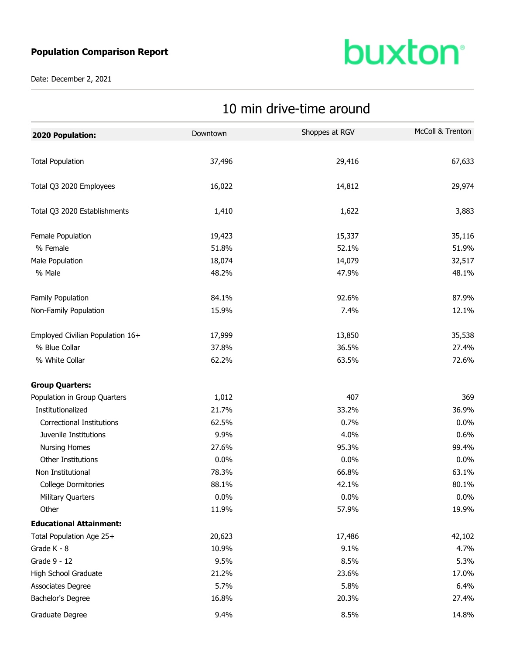## **Population Comparison Report**

Date: December 2, 2021

## **buxton**<sup>®</sup>

| 2020 Population:                 | Downtown | Shoppes at RGV | McColl & Trenton |
|----------------------------------|----------|----------------|------------------|
| <b>Total Population</b>          | 37,496   | 29,416         | 67,633           |
| Total Q3 2020 Employees          | 16,022   | 14,812         | 29,974           |
| Total Q3 2020 Establishments     | 1,410    | 1,622          | 3,883            |
| Female Population                | 19,423   | 15,337         | 35,116           |
| % Female                         | 51.8%    | 52.1%          | 51.9%            |
| Male Population                  | 18,074   | 14,079         | 32,517           |
| % Male                           | 48.2%    | 47.9%          | 48.1%            |
| Family Population                | 84.1%    | 92.6%          | 87.9%            |
| Non-Family Population            | 15.9%    | 7.4%           | 12.1%            |
| Employed Civilian Population 16+ | 17,999   | 13,850         | 35,538           |
| % Blue Collar                    | 37.8%    | 36.5%          | 27.4%            |
| % White Collar                   | 62.2%    | 63.5%          | 72.6%            |
| <b>Group Quarters:</b>           |          |                |                  |
| Population in Group Quarters     | 1,012    | 407            | 369              |
| Institutionalized                | 21.7%    | 33.2%          | 36.9%            |
| <b>Correctional Institutions</b> | 62.5%    | 0.7%           | 0.0%             |
| Juvenile Institutions            | 9.9%     | 4.0%           | 0.6%             |
| <b>Nursing Homes</b>             | 27.6%    | 95.3%          | 99.4%            |
| Other Institutions               | 0.0%     | 0.0%           | 0.0%             |
| Non Institutional                | 78.3%    | 66.8%          | 63.1%            |
| <b>College Dormitories</b>       | 88.1%    | 42.1%          | 80.1%            |
| Military Quarters                | 0.0%     | 0.0%           | $0.0\%$          |
| Other                            | 11.9%    | 57.9%          | 19.9%            |
| <b>Educational Attainment:</b>   |          |                |                  |
| Total Population Age 25+         | 20,623   | 17,486         | 42,102           |
| Grade K - 8                      | 10.9%    | 9.1%           | 4.7%             |
| Grade 9 - 12                     | 9.5%     | 8.5%           | 5.3%             |
| High School Graduate             | 21.2%    | 23.6%          | 17.0%            |
| Associates Degree                | 5.7%     | 5.8%           | 6.4%             |
| Bachelor's Degree                | 16.8%    | 20.3%          | 27.4%            |
| Graduate Degree                  | 9.4%     | 8.5%           | 14.8%            |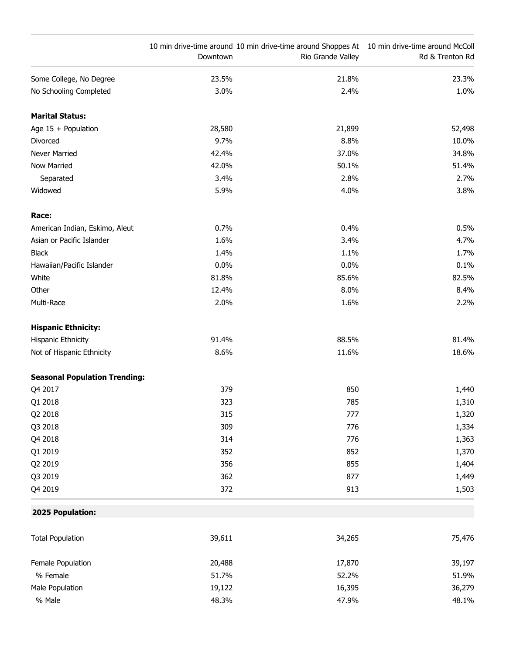|                                      | Downtown | 10 min drive-time around 10 min drive-time around Shoppes At 10 min drive-time around McColl<br>Rio Grande Valley | Rd & Trenton Rd |
|--------------------------------------|----------|-------------------------------------------------------------------------------------------------------------------|-----------------|
| Some College, No Degree              | 23.5%    | 21.8%                                                                                                             | 23.3%           |
| No Schooling Completed               | 3.0%     | 2.4%                                                                                                              | 1.0%            |
| <b>Marital Status:</b>               |          |                                                                                                                   |                 |
| Age $15 +$ Population                | 28,580   | 21,899                                                                                                            | 52,498          |
| Divorced                             | 9.7%     | 8.8%                                                                                                              | 10.0%           |
| Never Married                        | 42.4%    | 37.0%                                                                                                             | 34.8%           |
| <b>Now Married</b>                   | 42.0%    | 50.1%                                                                                                             | 51.4%           |
| Separated                            | 3.4%     | 2.8%                                                                                                              | 2.7%            |
| Widowed                              | 5.9%     | 4.0%                                                                                                              | 3.8%            |
| Race:                                |          |                                                                                                                   |                 |
| American Indian, Eskimo, Aleut       | 0.7%     | 0.4%                                                                                                              | 0.5%            |
| Asian or Pacific Islander            | 1.6%     | 3.4%                                                                                                              | 4.7%            |
| <b>Black</b>                         | 1.4%     | 1.1%                                                                                                              | 1.7%            |
| Hawaiian/Pacific Islander            | 0.0%     | 0.0%                                                                                                              | 0.1%            |
| White                                | 81.8%    | 85.6%                                                                                                             | 82.5%           |
| Other                                | 12.4%    | 8.0%                                                                                                              | 8.4%            |
| Multi-Race                           | 2.0%     | 1.6%                                                                                                              | 2.2%            |
| <b>Hispanic Ethnicity:</b>           |          |                                                                                                                   |                 |
| Hispanic Ethnicity                   | 91.4%    | 88.5%                                                                                                             | 81.4%           |
| Not of Hispanic Ethnicity            | 8.6%     | 11.6%                                                                                                             | 18.6%           |
| <b>Seasonal Population Trending:</b> |          |                                                                                                                   |                 |
| Q4 2017                              | 379      | 850                                                                                                               | 1,440           |
| Q1 2018                              | 323      | 785                                                                                                               | 1,310           |
| Q2 2018                              | 315      | 777                                                                                                               | 1,320           |
| Q3 2018                              | 309      | 776                                                                                                               | 1,334           |
| Q4 2018                              | 314      | 776                                                                                                               | 1,363           |
| Q1 2019                              | 352      | 852                                                                                                               | 1,370           |
| Q2 2019                              | 356      | 855                                                                                                               | 1,404           |
| Q3 2019                              | 362      | 877                                                                                                               | 1,449           |
| Q4 2019                              | 372      | 913                                                                                                               | 1,503           |
| 2025 Population:                     |          |                                                                                                                   |                 |
| <b>Total Population</b>              | 39,611   | 34,265                                                                                                            | 75,476          |
| Female Population                    | 20,488   | 17,870                                                                                                            | 39,197          |
| % Female                             | 51.7%    | 52.2%                                                                                                             | 51.9%           |
| Male Population                      | 19,122   | 16,395                                                                                                            | 36,279          |
| % Male                               | 48.3%    | 47.9%                                                                                                             | 48.1%           |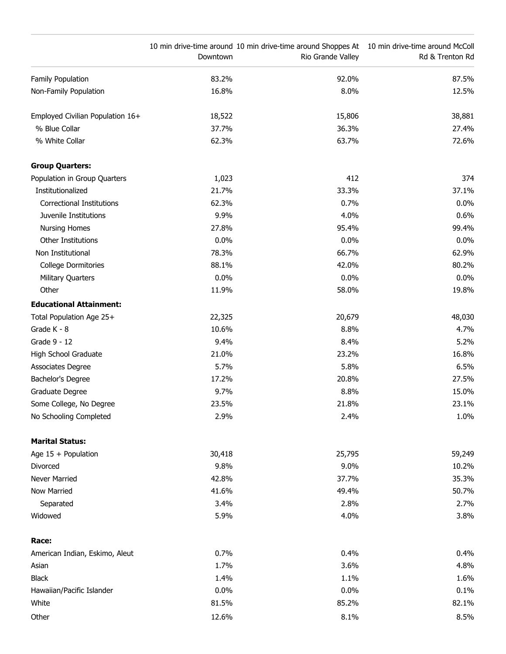|                                  | Downtown | 10 min drive-time around 10 min drive-time around Shoppes At 10 min drive-time around McColl<br>Rio Grande Valley | Rd & Trenton Rd |
|----------------------------------|----------|-------------------------------------------------------------------------------------------------------------------|-----------------|
| Family Population                | 83.2%    | 92.0%                                                                                                             | 87.5%           |
| Non-Family Population            | 16.8%    | 8.0%                                                                                                              | 12.5%           |
| Employed Civilian Population 16+ | 18,522   | 15,806                                                                                                            | 38,881          |
| % Blue Collar                    | 37.7%    | 36.3%                                                                                                             | 27.4%           |
| % White Collar                   | 62.3%    | 63.7%                                                                                                             | 72.6%           |
| <b>Group Quarters:</b>           |          |                                                                                                                   |                 |
| Population in Group Quarters     | 1,023    | 412                                                                                                               | 374             |
| Institutionalized                | 21.7%    | 33.3%                                                                                                             | 37.1%           |
| <b>Correctional Institutions</b> | 62.3%    | 0.7%                                                                                                              | 0.0%            |
| Juvenile Institutions            | 9.9%     | 4.0%                                                                                                              | 0.6%            |
| <b>Nursing Homes</b>             | 27.8%    | 95.4%                                                                                                             | 99.4%           |
| Other Institutions               | 0.0%     | 0.0%                                                                                                              | 0.0%            |
| Non Institutional                | 78.3%    | 66.7%                                                                                                             | 62.9%           |
| <b>College Dormitories</b>       | 88.1%    | 42.0%                                                                                                             | 80.2%           |
| <b>Military Quarters</b>         | 0.0%     | 0.0%                                                                                                              | $0.0\%$         |
| Other                            | 11.9%    | 58.0%                                                                                                             | 19.8%           |
| <b>Educational Attainment:</b>   |          |                                                                                                                   |                 |
| Total Population Age 25+         | 22,325   | 20,679                                                                                                            | 48,030          |
| Grade K - 8                      | 10.6%    | 8.8%                                                                                                              | 4.7%            |
| Grade 9 - 12                     | 9.4%     | 8.4%                                                                                                              | 5.2%            |
| High School Graduate             | 21.0%    | 23.2%                                                                                                             | 16.8%           |
| Associates Degree                | 5.7%     | 5.8%                                                                                                              | 6.5%            |
| Bachelor's Degree                | 17.2%    | 20.8%                                                                                                             | 27.5%           |
| Graduate Degree                  | 9.7%     | 8.8%                                                                                                              | 15.0%           |
| Some College, No Degree          | 23.5%    | 21.8%                                                                                                             | 23.1%           |
| No Schooling Completed           | 2.9%     | 2.4%                                                                                                              | 1.0%            |
| <b>Marital Status:</b>           |          |                                                                                                                   |                 |
| Age 15 + Population              | 30,418   | 25,795                                                                                                            | 59,249          |
| Divorced                         | 9.8%     | 9.0%                                                                                                              | 10.2%           |
| Never Married                    | 42.8%    | 37.7%                                                                                                             | 35.3%           |
| Now Married                      | 41.6%    | 49.4%                                                                                                             | 50.7%           |
| Separated                        | 3.4%     | 2.8%                                                                                                              | 2.7%            |
| Widowed                          | 5.9%     | 4.0%                                                                                                              | 3.8%            |
| Race:                            |          |                                                                                                                   |                 |
| American Indian, Eskimo, Aleut   | 0.7%     | 0.4%                                                                                                              | 0.4%            |
| Asian                            | 1.7%     | 3.6%                                                                                                              | 4.8%            |
| <b>Black</b>                     | 1.4%     | 1.1%                                                                                                              | 1.6%            |
| Hawaiian/Pacific Islander        | 0.0%     | 0.0%                                                                                                              | 0.1%            |
| White                            | 81.5%    | 85.2%                                                                                                             | 82.1%           |
| Other                            | 12.6%    | 8.1%                                                                                                              | 8.5%            |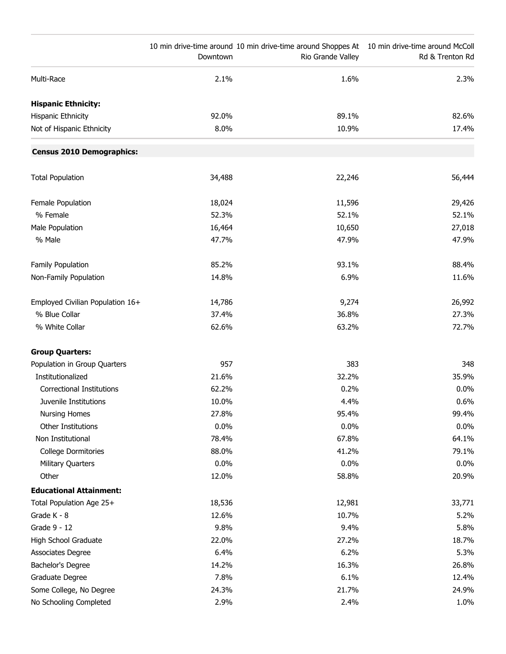|                                  | Downtown | 10 min drive-time around 10 min drive-time around Shoppes At 10 min drive-time around McColl<br>Rio Grande Valley | Rd & Trenton Rd |
|----------------------------------|----------|-------------------------------------------------------------------------------------------------------------------|-----------------|
| Multi-Race                       | 2.1%     | 1.6%                                                                                                              | 2.3%            |
| <b>Hispanic Ethnicity:</b>       |          |                                                                                                                   |                 |
| <b>Hispanic Ethnicity</b>        | 92.0%    | 89.1%                                                                                                             | 82.6%           |
| Not of Hispanic Ethnicity        | 8.0%     | 10.9%                                                                                                             | 17.4%           |
| <b>Census 2010 Demographics:</b> |          |                                                                                                                   |                 |
| <b>Total Population</b>          | 34,488   | 22,246                                                                                                            | 56,444          |
| Female Population                | 18,024   | 11,596                                                                                                            | 29,426          |
| % Female                         | 52.3%    | 52.1%                                                                                                             | 52.1%           |
| Male Population                  | 16,464   | 10,650                                                                                                            | 27,018          |
| % Male                           | 47.7%    | 47.9%                                                                                                             | 47.9%           |
| Family Population                | 85.2%    | 93.1%                                                                                                             | 88.4%           |
| Non-Family Population            | 14.8%    | 6.9%                                                                                                              | 11.6%           |
| Employed Civilian Population 16+ | 14,786   | 9,274                                                                                                             | 26,992          |
| % Blue Collar                    | 37.4%    | 36.8%                                                                                                             | 27.3%           |
| % White Collar                   | 62.6%    | 63.2%                                                                                                             | 72.7%           |
| <b>Group Quarters:</b>           |          |                                                                                                                   |                 |
| Population in Group Quarters     | 957      | 383                                                                                                               | 348             |
| Institutionalized                | 21.6%    | 32.2%                                                                                                             | 35.9%           |
| <b>Correctional Institutions</b> | 62.2%    | 0.2%                                                                                                              | 0.0%            |
| Juvenile Institutions            | 10.0%    | 4.4%                                                                                                              | 0.6%            |
| <b>Nursing Homes</b>             | 27.8%    | 95.4%                                                                                                             | 99.4%           |
| Other Institutions               | 0.0%     | 0.0%                                                                                                              | $0.0\%$         |
| Non Institutional                | 78.4%    | 67.8%                                                                                                             | 64.1%           |
| <b>College Dormitories</b>       | 88.0%    | 41.2%                                                                                                             | 79.1%           |
| <b>Military Quarters</b>         | 0.0%     | 0.0%                                                                                                              | $0.0\%$         |
| Other                            | 12.0%    | 58.8%                                                                                                             | 20.9%           |
| <b>Educational Attainment:</b>   |          |                                                                                                                   |                 |
| Total Population Age 25+         | 18,536   | 12,981                                                                                                            | 33,771          |
| Grade K - 8                      | 12.6%    | 10.7%                                                                                                             | 5.2%            |
| Grade 9 - 12                     | 9.8%     | 9.4%                                                                                                              | 5.8%            |
| High School Graduate             | 22.0%    | 27.2%                                                                                                             | 18.7%           |
| <b>Associates Degree</b>         | 6.4%     | 6.2%                                                                                                              | 5.3%            |
| Bachelor's Degree                | 14.2%    | 16.3%                                                                                                             | 26.8%           |
| Graduate Degree                  | 7.8%     | 6.1%                                                                                                              | 12.4%           |
| Some College, No Degree          | 24.3%    | 21.7%                                                                                                             | 24.9%           |
| No Schooling Completed           | 2.9%     | 2.4%                                                                                                              | 1.0%            |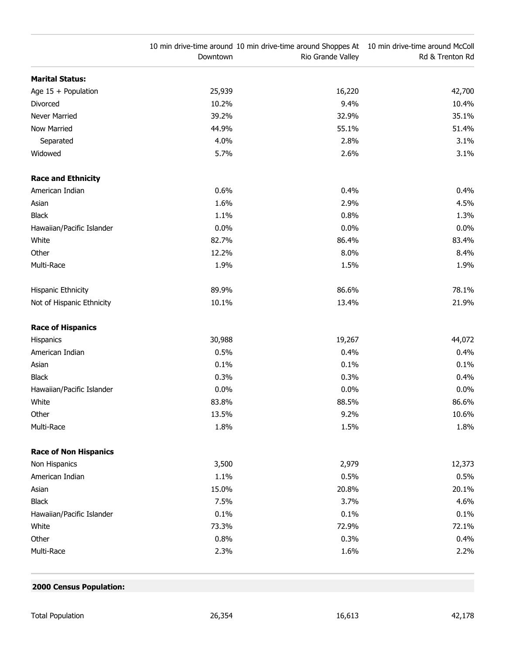|                              | Downtown | 10 min drive-time around 10 min drive-time around Shoppes At 10 min drive-time around McColl<br>Rio Grande Valley | Rd & Trenton Rd |
|------------------------------|----------|-------------------------------------------------------------------------------------------------------------------|-----------------|
| <b>Marital Status:</b>       |          |                                                                                                                   |                 |
| Age $15 +$ Population        | 25,939   | 16,220                                                                                                            | 42,700          |
| Divorced                     | 10.2%    | 9.4%                                                                                                              | 10.4%           |
| Never Married                | 39.2%    | 32.9%                                                                                                             | 35.1%           |
| <b>Now Married</b>           | 44.9%    | 55.1%                                                                                                             | 51.4%           |
| Separated                    | 4.0%     | 2.8%                                                                                                              | 3.1%            |
| Widowed                      | 5.7%     | 2.6%                                                                                                              | 3.1%            |
| <b>Race and Ethnicity</b>    |          |                                                                                                                   |                 |
| American Indian              | 0.6%     | 0.4%                                                                                                              | 0.4%            |
| Asian                        | 1.6%     | 2.9%                                                                                                              | 4.5%            |
| <b>Black</b>                 | 1.1%     | 0.8%                                                                                                              | 1.3%            |
| Hawaiian/Pacific Islander    | 0.0%     | 0.0%                                                                                                              | 0.0%            |
| White                        | 82.7%    | 86.4%                                                                                                             | 83.4%           |
| Other                        | 12.2%    | 8.0%                                                                                                              | 8.4%            |
| Multi-Race                   | 1.9%     | 1.5%                                                                                                              | 1.9%            |
| Hispanic Ethnicity           | 89.9%    | 86.6%                                                                                                             | 78.1%           |
| Not of Hispanic Ethnicity    | 10.1%    | 13.4%                                                                                                             | 21.9%           |
| <b>Race of Hispanics</b>     |          |                                                                                                                   |                 |
| Hispanics                    | 30,988   | 19,267                                                                                                            | 44,072          |
| American Indian              | 0.5%     | 0.4%                                                                                                              | 0.4%            |
| Asian                        | 0.1%     | 0.1%                                                                                                              | 0.1%            |
| <b>Black</b>                 | 0.3%     | 0.3%                                                                                                              | 0.4%            |
| Hawaiian/Pacific Islander    | 0.0%     | 0.0%                                                                                                              | 0.0%            |
| White                        | 83.8%    | 88.5%                                                                                                             | 86.6%           |
| Other                        | 13.5%    | 9.2%                                                                                                              | 10.6%           |
| Multi-Race                   | 1.8%     | 1.5%                                                                                                              | 1.8%            |
| <b>Race of Non Hispanics</b> |          |                                                                                                                   |                 |
| Non Hispanics                | 3,500    | 2,979                                                                                                             | 12,373          |
| American Indian              | 1.1%     | 0.5%                                                                                                              | 0.5%            |
| Asian                        | 15.0%    | 20.8%                                                                                                             | 20.1%           |
| <b>Black</b>                 | 7.5%     | 3.7%                                                                                                              | 4.6%            |
| Hawaiian/Pacific Islander    | 0.1%     | 0.1%                                                                                                              | 0.1%            |
| White                        | 73.3%    | 72.9%                                                                                                             | 72.1%           |
| Other                        | 0.8%     | 0.3%                                                                                                              | 0.4%            |
| Multi-Race                   | 2.3%     | 1.6%                                                                                                              | 2.2%            |

## **2000 Census Population:**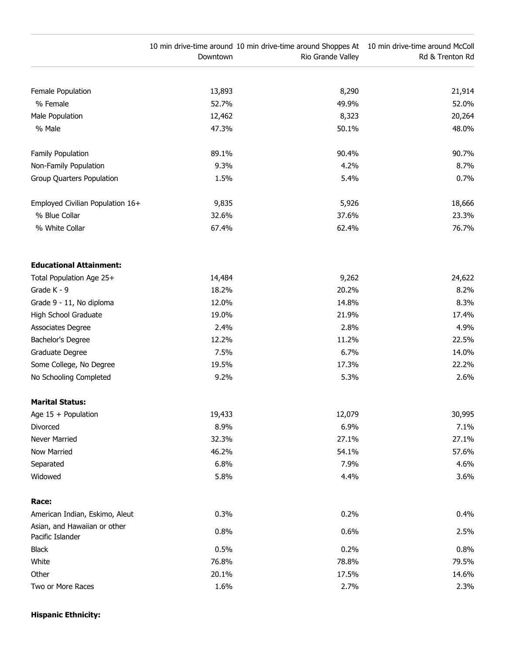|                                                  | Downtown | 10 min drive-time around 10 min drive-time around Shoppes At 10 min drive-time around McColl<br>Rio Grande Valley | Rd & Trenton Rd |
|--------------------------------------------------|----------|-------------------------------------------------------------------------------------------------------------------|-----------------|
|                                                  |          |                                                                                                                   |                 |
| Female Population                                | 13,893   | 8,290                                                                                                             | 21,914          |
| % Female                                         | 52.7%    | 49.9%                                                                                                             | 52.0%           |
| Male Population                                  | 12,462   | 8,323                                                                                                             | 20,264          |
| % Male                                           | 47.3%    | 50.1%                                                                                                             | 48.0%           |
| Family Population                                | 89.1%    | 90.4%                                                                                                             | 90.7%           |
| Non-Family Population                            | 9.3%     | 4.2%                                                                                                              | 8.7%            |
| Group Quarters Population                        | 1.5%     | 5.4%                                                                                                              | 0.7%            |
| Employed Civilian Population 16+                 | 9,835    | 5,926                                                                                                             | 18,666          |
| % Blue Collar                                    | 32.6%    | 37.6%                                                                                                             | 23.3%           |
| % White Collar                                   | 67.4%    | 62.4%                                                                                                             | 76.7%           |
| <b>Educational Attainment:</b>                   |          |                                                                                                                   |                 |
| Total Population Age 25+                         | 14,484   | 9,262                                                                                                             | 24,622          |
| Grade K - 9                                      | 18.2%    | 20.2%                                                                                                             | 8.2%            |
| Grade 9 - 11, No diploma                         | 12.0%    | 14.8%                                                                                                             | 8.3%            |
| High School Graduate                             | 19.0%    | 21.9%                                                                                                             | 17.4%           |
| Associates Degree                                | 2.4%     | 2.8%                                                                                                              | 4.9%            |
| Bachelor's Degree                                | 12.2%    | 11.2%                                                                                                             | 22.5%           |
| Graduate Degree                                  | 7.5%     | 6.7%                                                                                                              | 14.0%           |
| Some College, No Degree                          | 19.5%    | 17.3%                                                                                                             | 22.2%           |
| No Schooling Completed                           | 9.2%     | 5.3%                                                                                                              | 2.6%            |
| <b>Marital Status:</b>                           |          |                                                                                                                   |                 |
| Age $15 +$ Population                            | 19,433   | 12,079                                                                                                            | 30,995          |
| Divorced                                         | 8.9%     | 6.9%                                                                                                              | 7.1%            |
| Never Married                                    | 32.3%    | 27.1%                                                                                                             | 27.1%           |
| Now Married                                      | 46.2%    | 54.1%                                                                                                             | 57.6%           |
| Separated                                        | 6.8%     | 7.9%                                                                                                              | 4.6%            |
| Widowed                                          | 5.8%     | 4.4%                                                                                                              | 3.6%            |
| Race:                                            |          |                                                                                                                   |                 |
| American Indian, Eskimo, Aleut                   | 0.3%     | 0.2%                                                                                                              | 0.4%            |
| Asian, and Hawaiian or other<br>Pacific Islander | 0.8%     | 0.6%                                                                                                              | 2.5%            |
| <b>Black</b>                                     | 0.5%     | 0.2%                                                                                                              | 0.8%            |
| White                                            | 76.8%    | 78.8%                                                                                                             | 79.5%           |
| Other                                            | 20.1%    | 17.5%                                                                                                             | 14.6%           |
| Two or More Races                                | 1.6%     | 2.7%                                                                                                              | 2.3%            |

## **Hispanic Ethnicity:**